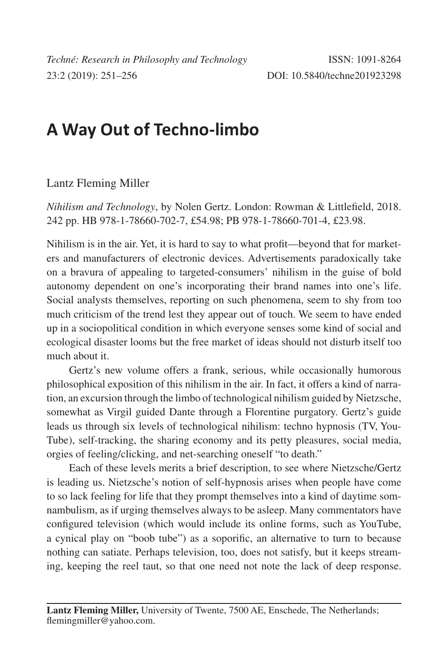## **A Way Out of Techno-limbo**

Lantz Fleming Miller

*Nihilism and Technology*, by Nolen Gertz. London: Rowman & Littlefield, 2018. 242 pp. HB 978-1-78660-702-7, £54.98; PB 978-1-78660-701-4, £23.98.

Nihilism is in the air. Yet, it is hard to say to what profit—beyond that for marketers and manufacturers of electronic devices. Advertisements paradoxically take on a bravura of appealing to targeted-consumers' nihilism in the guise of bold autonomy dependent on one's incorporating their brand names into one's life. Social analysts themselves, reporting on such phenomena, seem to shy from too much criticism of the trend lest they appear out of touch. We seem to have ended up in a sociopolitical condition in which everyone senses some kind of social and ecological disaster looms but the free market of ideas should not disturb itself too much about it.

Gertz's new volume offers a frank, serious, while occasionally humorous philosophical exposition of this nihilism in the air. In fact, it offers a kind of narration, an excursion through the limbo of technological nihilism guided by Nietzsche, somewhat as Virgil guided Dante through a Florentine purgatory. Gertz's guide leads us through six levels of technological nihilism: techno hypnosis (TV, You-Tube), self-tracking, the sharing economy and its petty pleasures, social media, orgies of feeling/clicking, and net-searching oneself "to death."

Each of these levels merits a brief description, to see where Nietzsche/Gertz is leading us. Nietzsche's notion of self-hypnosis arises when people have come to so lack feeling for life that they prompt themselves into a kind of daytime somnambulism, as if urging themselves always to be asleep. Many commentators have configured television (which would include its online forms, such as YouTube, a cynical play on "boob tube") as a soporific, an alternative to turn to because nothing can satiate. Perhaps television, too, does not satisfy, but it keeps streaming, keeping the reel taut, so that one need not note the lack of deep response.

**Lantz Fleming Miller,** University of Twente, 7500 AE, Enschede, The Netherlands; flemingmiller@yahoo.com.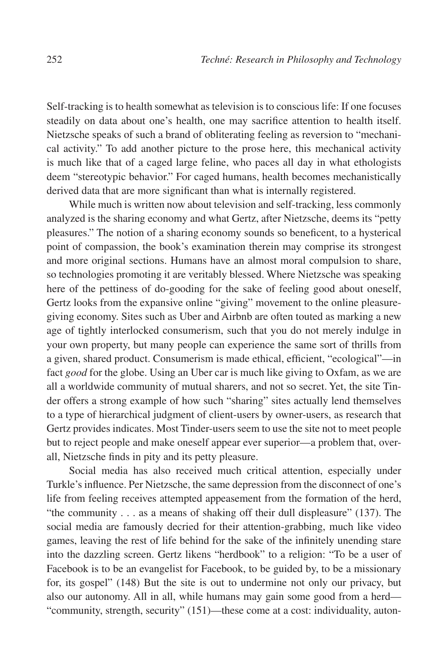Self-tracking is to health somewhat as television is to conscious life: If one focuses steadily on data about one's health, one may sacrifice attention to health itself. Nietzsche speaks of such a brand of obliterating feeling as reversion to "mechanical activity." To add another picture to the prose here, this mechanical activity is much like that of a caged large feline, who paces all day in what ethologists deem "stereotypic behavior." For caged humans, health becomes mechanistically derived data that are more significant than what is internally registered.

While much is written now about television and self-tracking, less commonly analyzed is the sharing economy and what Gertz, after Nietzsche, deems its "petty pleasures." The notion of a sharing economy sounds so beneficent, to a hysterical point of compassion, the book's examination therein may comprise its strongest and more original sections. Humans have an almost moral compulsion to share, so technologies promoting it are veritably blessed. Where Nietzsche was speaking here of the pettiness of do-gooding for the sake of feeling good about oneself, Gertz looks from the expansive online "giving" movement to the online pleasuregiving economy. Sites such as Uber and Airbnb are often touted as marking a new age of tightly interlocked consumerism, such that you do not merely indulge in your own property, but many people can experience the same sort of thrills from a given, shared product. Consumerism is made ethical, efficient, "ecological"—in fact *good* for the globe. Using an Uber car is much like giving to Oxfam, as we are all a worldwide community of mutual sharers, and not so secret. Yet, the site Tinder offers a strong example of how such "sharing" sites actually lend themselves to a type of hierarchical judgment of client-users by owner-users, as research that Gertz provides indicates. Most Tinder-users seem to use the site not to meet people but to reject people and make oneself appear ever superior—a problem that, overall, Nietzsche finds in pity and its petty pleasure.

Social media has also received much critical attention, especially under Turkle's influence. Per Nietzsche, the same depression from the disconnect of one's life from feeling receives attempted appeasement from the formation of the herd, "the community . . . as a means of shaking off their dull displeasure" (137). The social media are famously decried for their attention-grabbing, much like video games, leaving the rest of life behind for the sake of the infinitely unending stare into the dazzling screen. Gertz likens "herdbook" to a religion: "To be a user of Facebook is to be an evangelist for Facebook, to be guided by, to be a missionary for, its gospel" (148) But the site is out to undermine not only our privacy, but also our autonomy. All in all, while humans may gain some good from a herd— "community, strength, security" (151)—these come at a cost: individuality, auton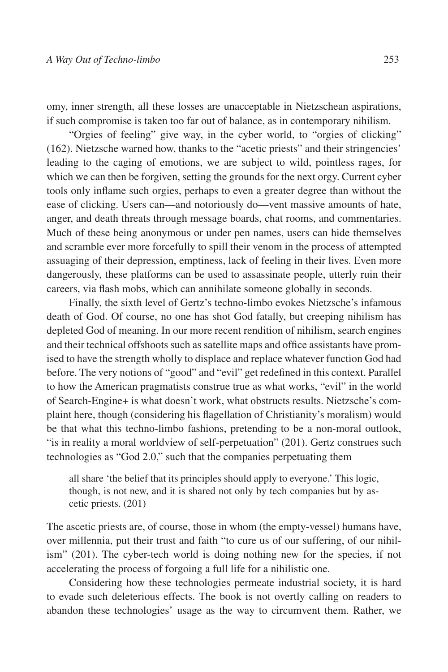omy, inner strength, all these losses are unacceptable in Nietzschean aspirations, if such compromise is taken too far out of balance, as in contemporary nihilism.

"Orgies of feeling" give way, in the cyber world, to "orgies of clicking" (162). Nietzsche warned how, thanks to the "acetic priests" and their stringencies' leading to the caging of emotions, we are subject to wild, pointless rages, for which we can then be forgiven, setting the grounds for the next orgy. Current cyber tools only inflame such orgies, perhaps to even a greater degree than without the ease of clicking. Users can—and notoriously do—vent massive amounts of hate, anger, and death threats through message boards, chat rooms, and commentaries. Much of these being anonymous or under pen names, users can hide themselves and scramble ever more forcefully to spill their venom in the process of attempted assuaging of their depression, emptiness, lack of feeling in their lives. Even more dangerously, these platforms can be used to assassinate people, utterly ruin their careers, via flash mobs, which can annihilate someone globally in seconds.

Finally, the sixth level of Gertz's techno-limbo evokes Nietzsche's infamous death of God. Of course, no one has shot God fatally, but creeping nihilism has depleted God of meaning. In our more recent rendition of nihilism, search engines and their technical offshoots such as satellite maps and office assistants have promised to have the strength wholly to displace and replace whatever function God had before. The very notions of "good" and "evil" get redefined in this context. Parallel to how the American pragmatists construe true as what works, "evil" in the world of Search-Engine+ is what doesn't work, what obstructs results. Nietzsche's complaint here, though (considering his flagellation of Christianity's moralism) would be that what this techno-limbo fashions, pretending to be a non-moral outlook, "is in reality a moral worldview of self-perpetuation" (201). Gertz construes such technologies as "God 2.0," such that the companies perpetuating them

all share 'the belief that its principles should apply to everyone.' This logic, though, is not new, and it is shared not only by tech companies but by ascetic priests. (201)

The ascetic priests are, of course, those in whom (the empty-vessel) humans have, over millennia, put their trust and faith "to cure us of our suffering, of our nihilism" (201). The cyber-tech world is doing nothing new for the species, if not accelerating the process of forgoing a full life for a nihilistic one.

Considering how these technologies permeate industrial society, it is hard to evade such deleterious effects. The book is not overtly calling on readers to abandon these technologies' usage as the way to circumvent them. Rather, we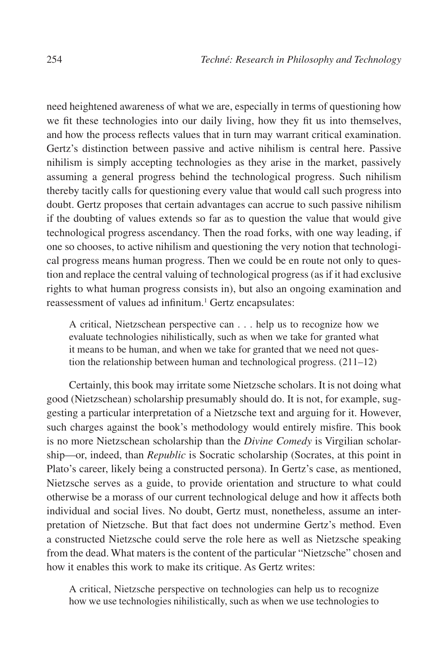need heightened awareness of what we are, especially in terms of questioning how we fit these technologies into our daily living, how they fit us into themselves, and how the process reflects values that in turn may warrant critical examination. Gertz's distinction between passive and active nihilism is central here. Passive nihilism is simply accepting technologies as they arise in the market, passively assuming a general progress behind the technological progress. Such nihilism thereby tacitly calls for questioning every value that would call such progress into doubt. Gertz proposes that certain advantages can accrue to such passive nihilism if the doubting of values extends so far as to question the value that would give technological progress ascendancy. Then the road forks, with one way leading, if one so chooses, to active nihilism and questioning the very notion that technological progress means human progress. Then we could be en route not only to question and replace the central valuing of technological progress (as if it had exclusive rights to what human progress consists in), but also an ongoing examination and reassessment of values ad infinitum.<sup>1</sup> Gertz encapsulates:

A critical, Nietzschean perspective can . . . help us to recognize how we evaluate technologies nihilistically, such as when we take for granted what it means to be human, and when we take for granted that we need not question the relationship between human and technological progress. (211–12)

Certainly, this book may irritate some Nietzsche scholars. It is not doing what good (Nietzschean) scholarship presumably should do. It is not, for example, suggesting a particular interpretation of a Nietzsche text and arguing for it. However, such charges against the book's methodology would entirely misfire. This book is no more Nietzschean scholarship than the *Divine Comedy* is Virgilian scholarship—or, indeed, than *Republic* is Socratic scholarship (Socrates, at this point in Plato's career, likely being a constructed persona). In Gertz's case, as mentioned, Nietzsche serves as a guide, to provide orientation and structure to what could otherwise be a morass of our current technological deluge and how it affects both individual and social lives. No doubt, Gertz must, nonetheless, assume an interpretation of Nietzsche. But that fact does not undermine Gertz's method. Even a constructed Nietzsche could serve the role here as well as Nietzsche speaking from the dead. What maters is the content of the particular "Nietzsche" chosen and how it enables this work to make its critique. As Gertz writes:

A critical, Nietzsche perspective on technologies can help us to recognize how we use technologies nihilistically, such as when we use technologies to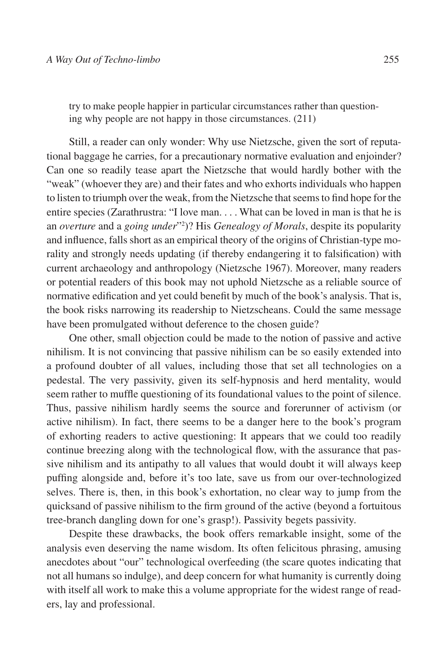try to make people happier in particular circumstances rather than questioning why people are not happy in those circumstances. (211)

Still, a reader can only wonder: Why use Nietzsche, given the sort of reputational baggage he carries, for a precautionary normative evaluation and enjoinder? Can one so readily tease apart the Nietzsche that would hardly bother with the "weak" (whoever they are) and their fates and who exhorts individuals who happen to listen to triumph over the weak, from the Nietzsche that seems to find hope for the entire species (Zarathrustra: "I love man. . . . What can be loved in man is that he is an *overture* and a *going under*"2 )? His *Genealogy of Morals*, despite its popularity and influence, falls short as an empirical theory of the origins of Christian-type morality and strongly needs updating (if thereby endangering it to falsification) with current archaeology and anthropology (Nietzsche 1967). Moreover, many readers or potential readers of this book may not uphold Nietzsche as a reliable source of normative edification and yet could benefit by much of the book's analysis. That is, the book risks narrowing its readership to Nietzscheans. Could the same message have been promulgated without deference to the chosen guide?

One other, small objection could be made to the notion of passive and active nihilism. It is not convincing that passive nihilism can be so easily extended into a profound doubter of all values, including those that set all technologies on a pedestal. The very passivity, given its self-hypnosis and herd mentality, would seem rather to muffle questioning of its foundational values to the point of silence. Thus, passive nihilism hardly seems the source and forerunner of activism (or active nihilism). In fact, there seems to be a danger here to the book's program of exhorting readers to active questioning: It appears that we could too readily continue breezing along with the technological flow, with the assurance that passive nihilism and its antipathy to all values that would doubt it will always keep puffing alongside and, before it's too late, save us from our over-technologized selves. There is, then, in this book's exhortation, no clear way to jump from the quicksand of passive nihilism to the firm ground of the active (beyond a fortuitous tree-branch dangling down for one's grasp!). Passivity begets passivity.

Despite these drawbacks, the book offers remarkable insight, some of the analysis even deserving the name wisdom. Its often felicitous phrasing, amusing anecdotes about "our" technological overfeeding (the scare quotes indicating that not all humans so indulge), and deep concern for what humanity is currently doing with itself all work to make this a volume appropriate for the widest range of readers, lay and professional.